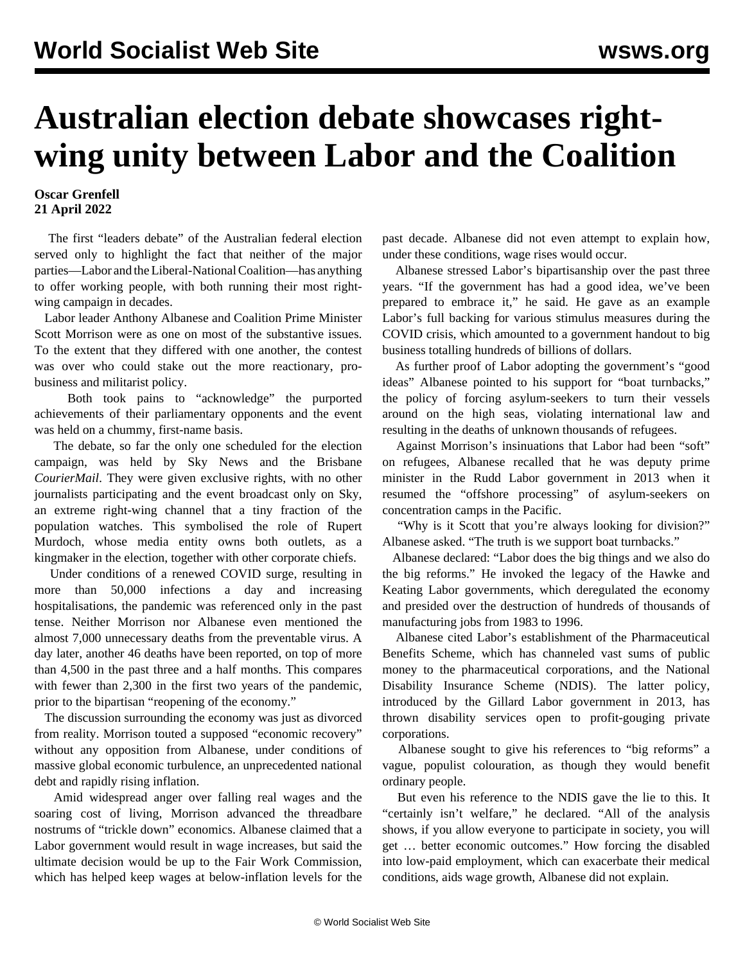## **Australian election debate showcases rightwing unity between Labor and the Coalition**

## **Oscar Grenfell 21 April 2022**

 The first "leaders debate" of the Australian federal election served only to highlight the fact that neither of the major parties—Labor and the Liberal-National Coalition—has anything to offer working people, with both running their most rightwing campaign in decades.

 Labor leader Anthony Albanese and Coalition Prime Minister Scott Morrison were as one on most of the substantive issues. To the extent that they differed with one another, the contest was over who could stake out the more reactionary, probusiness and militarist policy.

 Both took pains to "acknowledge" the purported achievements of their parliamentary opponents and the event was held on a chummy, first-name basis.

 The debate, so far the only one scheduled for the election campaign, was held by Sky News and the Brisbane *CourierMail*. They were given exclusive rights, with no other journalists participating and the event broadcast only on Sky, an extreme right-wing channel that a tiny fraction of the population watches. This symbolised the role of Rupert Murdoch, whose media entity owns both outlets, as a kingmaker in the election, together with other corporate chiefs.

 Under conditions of a renewed COVID surge, resulting in more than 50,000 infections a day and increasing hospitalisations, the pandemic was referenced only in the past tense. Neither Morrison nor Albanese even mentioned the almost 7,000 unnecessary deaths from the preventable virus. A day later, another 46 deaths have been reported, on top of more than 4,500 in the past three and a half months. This compares with fewer than 2,300 in the first two years of the pandemic, prior to the bipartisan "reopening of the economy."

 The discussion surrounding the economy was just as divorced from reality. Morrison touted a supposed "economic recovery" without any opposition from Albanese, under conditions of massive global economic turbulence, an unprecedented national debt and rapidly rising inflation.

 Amid widespread anger over falling real wages and the soaring cost of living, Morrison advanced the threadbare nostrums of "trickle down" economics. Albanese claimed that a Labor government would result in wage increases, but said the ultimate decision would be up to the Fair Work Commission, which has helped keep wages at below-inflation levels for the

past decade. Albanese did not even attempt to explain how, under these conditions, wage rises would occur.

 Albanese stressed Labor's bipartisanship over the past three years. "If the government has had a good idea, we've been prepared to embrace it," he said. He gave as an example Labor's full backing for various stimulus measures during the COVID crisis, which amounted to a government handout to big business totalling hundreds of billions of dollars.

 As further proof of Labor adopting the government's "good ideas" Albanese pointed to his support for "boat turnbacks," the policy of forcing asylum-seekers to turn their vessels around on the high seas, violating international law and resulting in the deaths of unknown thousands of refugees.

 Against Morrison's insinuations that Labor had been "soft" on refugees, Albanese recalled that he was deputy prime minister in the Rudd Labor government in 2013 when it resumed the "offshore processing" of asylum-seekers on concentration camps in the Pacific.

 "Why is it Scott that you're always looking for division?" Albanese asked. "The truth is we support boat turnbacks."

 Albanese declared: "Labor does the big things and we also do the big reforms." He invoked the legacy of the Hawke and Keating Labor governments, which deregulated the economy and presided over the destruction of hundreds of thousands of manufacturing jobs from 1983 to 1996.

 Albanese cited Labor's establishment of the Pharmaceutical Benefits Scheme, which has channeled vast sums of public money to the pharmaceutical corporations, and the National Disability Insurance Scheme (NDIS). The latter policy, introduced by the Gillard Labor government in 2013, has thrown disability services open to profit-gouging private corporations.

 Albanese sought to give his references to "big reforms" a vague, populist colouration, as though they would benefit ordinary people.

 But even his reference to the NDIS gave the lie to this. It "certainly isn't welfare," he declared. "All of the analysis shows, if you allow everyone to participate in society, you will get … better economic outcomes." How forcing the disabled into low-paid employment, which can exacerbate their medical conditions, aids wage growth, Albanese did not explain.